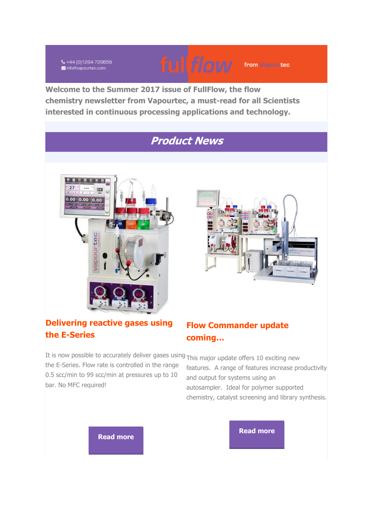₹+44 (0)1284 728659 info@vapourtec.com



from Vapourtec

**Welcome to the Summer 2017 issue of FullFlow, the flow chemistry newsletter from Vapourtec, a must-read for all Scientists interested in continuous processing applications and technology.**

## **Product News**







#### **Flow Commander update coming…**

It is now possible to accurately deliver gases using This major update offers 10 exciting new the E-Series. Flow rate is controlled in the range 0.5 scc/min to 99 scc/min at pressures up to 10 bar. No MFC required!

features. A range of features increase productivity and output for systems using an autosampler. Ideal for polymer supported chemistry, catalyst screening and library synthesis.

**[Read more](http://vapourtec.createsend1.com/t/r-l-yulhikkt-l-j/)**

**[Read more](http://vapourtec.createsend1.com/t/r-l-yulhikkt-l-i/)**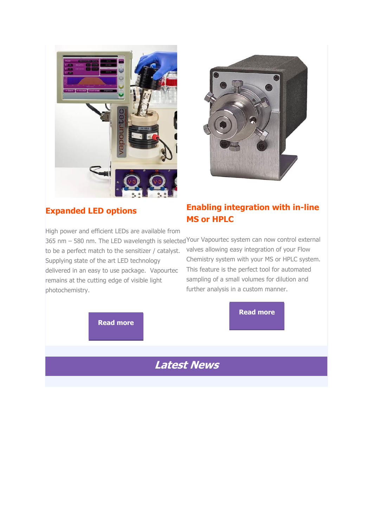



#### **Expanded LED options**

High power and efficient LEDs are available from 365 nm – 580 nm. The LED wavelength is selected Your Vapourtec system can now control external to be a perfect match to the sensitizer / catalyst. Supplying state of the art LED technology delivered in an easy to use package. Vapourtec remains at the cutting edge of visible light photochemistry.

#### **Enabling integration with in-line MS or HPLC**

valves allowing easy integration of your Flow Chemistry system with your MS or HPLC system. This feature is the perfect tool for automated sampling of a small volumes for dilution and further analysis in a custom manner.

**[Read more](http://vapourtec.createsend1.com/t/r-l-yulhikkt-l-u/)**

**[Read more](http://vapourtec.createsend1.com/t/r-l-yulhikkt-l-h/)**

# **Latest News**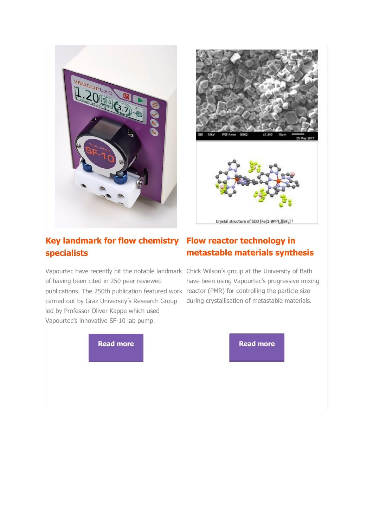



#### **Key landmark for flow chemistry Flow reactor technology in specialists**

Vapourtec have recently hit the notable landmark Chick Wilson's group at the University of Bath of having been cited in 250 peer reviewed publications. The 250th publication featured work reactor (PMR) for controlling the particle size carried out by Graz University's Research Group led by Professor Oliver Kappe which used Vapourtec's innovative SF-10 lab pump.

# **metastable materials synthesis**

have been using Vapourtec's progressive mixing during crystallisation of metastable materials.

**[Read more](http://vapourtec.createsend1.com/t/r-l-yulhikkt-l-p/) Read more**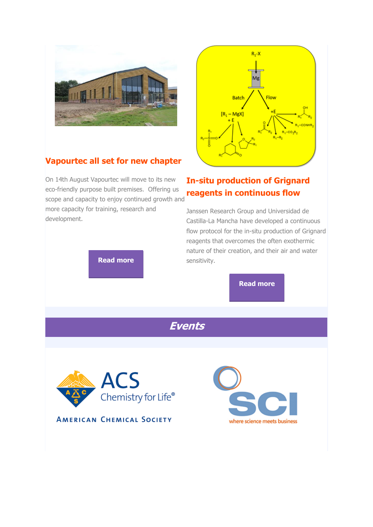



#### **Vapourtec all set for new chapter**

On 14th August Vapourtec will move to its new eco-friendly purpose built premises. Offering us scope and capacity to enjoy continued growth and

more capacity for training, research and development.

**[Read more](http://vapourtec.createsend1.com/t/r-l-yulhikkt-l-m/)**

#### **In-situ production of Grignard reagents in continuous flow**

Janssen Research Group and Universidad de Castilla-La Mancha have developed a continuous flow protocol for the in-situ production of Grignard reagents that overcomes the often exothermic nature of their creation, and their air and water sensitivity.

**[Read more](http://vapourtec.createsend1.com/t/r-l-yulhikkt-l-q/)**

**Events**



**AMERICAN CHEMICAL SOCIETY** 

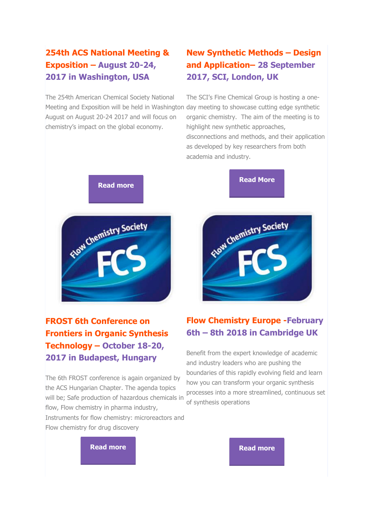#### **254th ACS National Meeting & Exposition – August 20-24, 2017 in Washington, USA**

The 254th American Chemical Society National Meeting and Exposition will be held in Washington day meeting to showcase cutting edge synthetic August on August 20-24 2017 and will focus on chemistry's impact on the global economy.

#### **New Synthetic Methods – Design and Application– 28 September 2017, SCI, London, UK**

The SCI's Fine Chemical Group is hosting a oneorganic chemistry. The aim of the meeting is to highlight new synthetic approaches, disconnections and methods, and their application as developed by key researchers from both academia and industry.

**[Read More](http://vapourtec.createsend1.com/t/r-l-yulhikkt-l-v/)**



**FROST 6th Conference on Frontiers in Organic Synthesis Technology – October 18-20, 2017 in Budapest, Hungary**

The 6th FROST conference is again organized by the ACS Hungarian Chapter. The agenda topics will be; Safe production of hazardous chemicals in flow, Flow chemistry in pharma industry, Instruments for flow chemistry: microreactors and Flow chemistry for drug discovery

# Elow Chemistry Society

#### **Flow Chemistry Europe -February 6th – 8th 2018 in Cambridge UK**

Benefit from the expert knowledge of academic and industry leaders who are pushing the boundaries of this rapidly evolving field and learn how you can transform your organic synthesis processes into a more streamlined, continuous set of synthesis operations

**[Read more](http://vapourtec.createsend1.com/t/r-l-yulhikkt-l-w/) Read more Read more**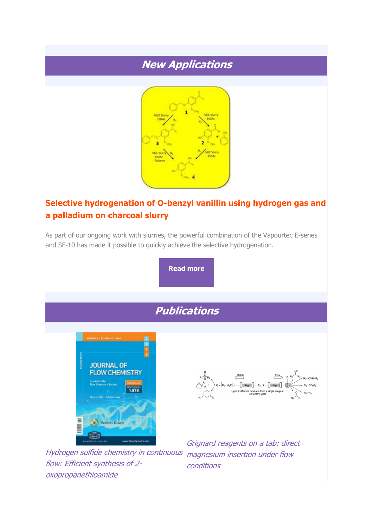## **New Applications**



#### **Selective hydrogenation of O-benzyl vanillin using hydrogen gas and a palladium on charcoal slurry**

As part of our ongoing work with slurries, the powerful combination of the Vapourtec E-series and SF-10 has made it possible to quickly achieve the selective hydrogenation.

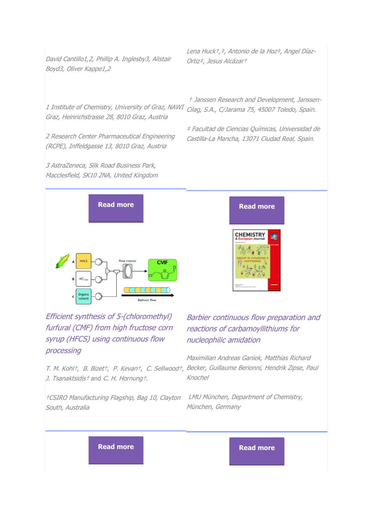David Cantillo1,2, Phillip A. Inglesby3, Alistair Boyd3, Oliver Kappe1,2

Lena Huck†,‡, Antonio de la Hoz‡, Angel Díaz-Ortiz‡, Jesus Alcázar†

1 Institute of Chemistry, University of Graz, NAWI Cilag, S.A., C/Jarama 75, 45007 Toledo, Spain. Graz, Heinrichstrasse 28, 8010 Graz, Austria

2 Research Center Pharmaceutical Engineering (RCPE), Inffeldgasse 13, 8010 Graz, Austria

3 AstraZeneca, Silk Road Business Park, Macclesfield, SK10 2NA, United Kingdom † Janssen Research and Development, Janssen-

‡ Facultad de Ciencias Químicas, Universidad de Castilla-La Mancha, 13071 Ciudad Real, Spain.



Efficient synthesis of 5-(chloromethyl) furfural (CMF) from high fructose corn syrup (HFCS) using continuous flow processing

T. M. Kohl†, B. Bizet†, P. Kevan†, C. Sellwood†, Becker, Guillaume Berionni, Hendrik Zipse, Paul J. Tsanaktsidist and C. H. Hornungt.

†CSIRO Manufacturing Flagship, Bag 10, Clayton South, Australia

#### Barbier continuous flow preparation and reactions of carbamoyllithiums for nucleophilic amidation

**CHEMISTRY** 

Maximilian Andreas Ganiek, Matthias Richard Knochel

LMU München, Department of Chemistry, München, Germany

**[Read more](http://vapourtec.createsend1.com/t/r-l-yulhikkt-l-jh/) Read more**